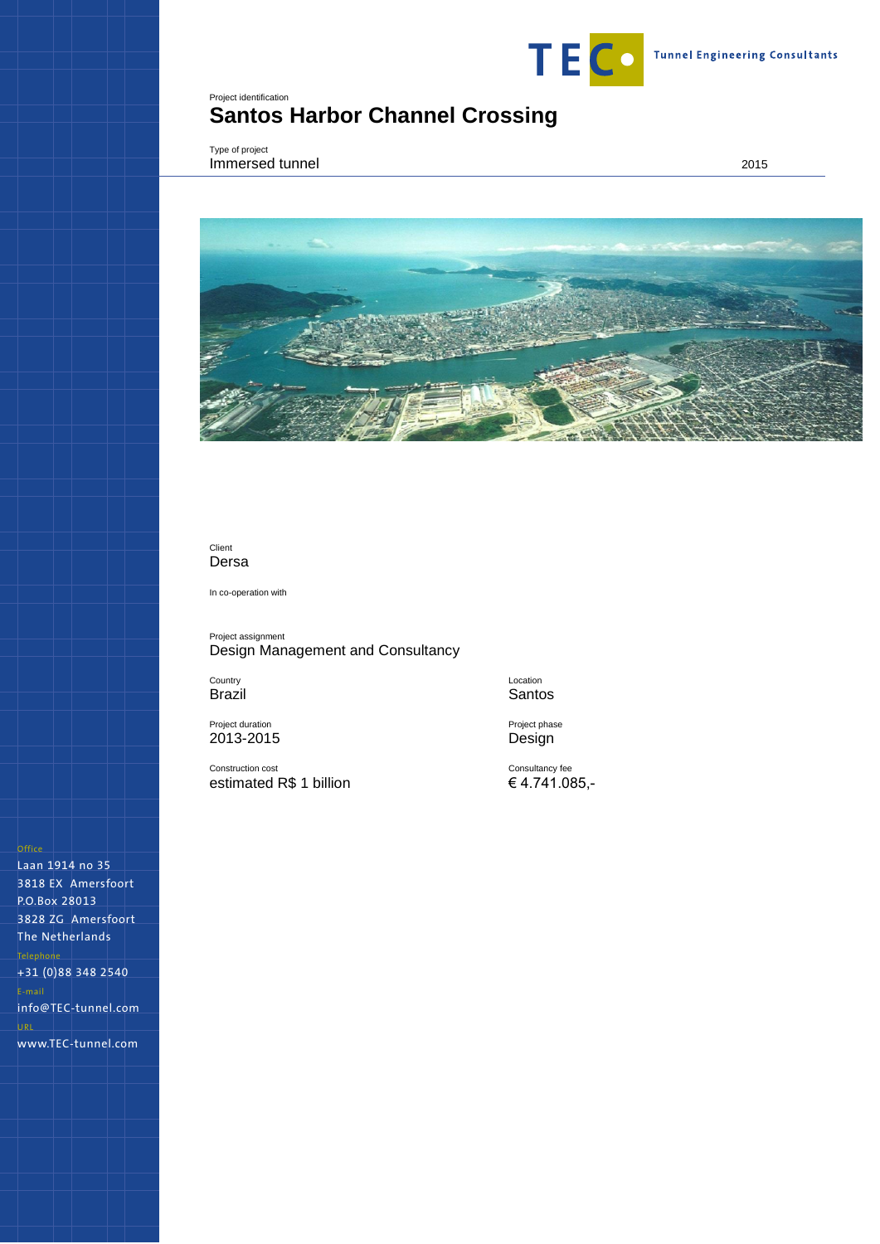

# <span id="page-0-0"></span>Project identification **Santos Harbor Channel Crossing**

<span id="page-0-1"></span>Type of project **Immersed tunnel** 2015



# Client Dersa

In co-operation with

Project assignment Design Management and Consultancy

**Country** Brazil

Project duration 2013-2015

Construction cost estimated R\$ 1 billion

Location Santos

Project phase Design

Consultancy fee € 4.741.085,-

Laan 1914 no 35 3818 EX Amersfoort P.O.Box 28013 3828 ZG Amersfoort The Netherlands +31 (0)88 348 2540 info@TEC-tunnel.com www.TEC-tunnel.com